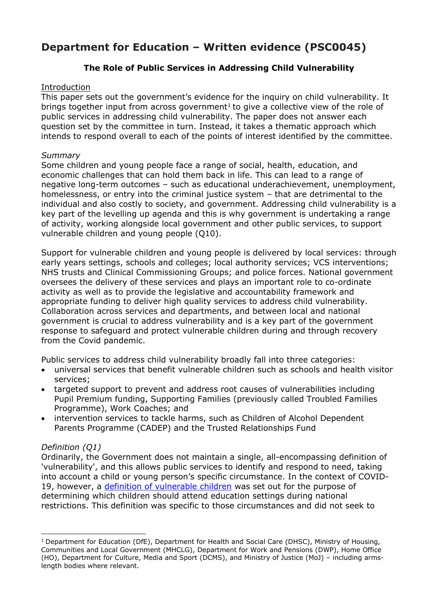# **Department for Education – Written evidence (PSC0045)**

## **The Role of Public Services in Addressing Child Vulnerability**

#### Introduction

This paper sets out the government's evidence for the inquiry on child vulnerability. It brings together input from across government<sup>[1](#page-0-0)</sup> to give a collective view of the role of public services in addressing child vulnerability. The paper does not answer each question set by the committee in turn. Instead, it takes a thematic approach which intends to respond overall to each of the points of interest identified by the committee.

#### *Summary*

Some children and young people face a range of social, health, education, and economic challenges that can hold them back in life. This can lead to a range of negative long-term outcomes – such as educational underachievement, unemployment, homelessness, or entry into the criminal justice system – that are detrimental to the individual and also costly to society, and government. Addressing child vulnerability is a key part of the levelling up agenda and this is why government is undertaking a range of activity, working alongside local government and other public services, to support vulnerable children and young people (Q10).

Support for vulnerable children and young people is delivered by local services: through early years settings, schools and colleges; local authority services; VCS interventions; NHS trusts and Clinical Commissioning Groups; and police forces. National government oversees the delivery of these services and plays an important role to co-ordinate activity as well as to provide the legislative and accountability framework and appropriate funding to deliver high quality services to address child vulnerability. Collaboration across services and departments, and between local and national government is crucial to address vulnerability and is a key part of the government response to safeguard and protect vulnerable children during and through recovery from the Covid pandemic.

Public services to address child vulnerability broadly fall into three categories:

- universal services that benefit vulnerable children such as schools and health visitor services;
- targeted support to prevent and address root causes of vulnerabilities including Pupil Premium funding, Supporting Families (previously called Troubled Families Programme), Work Coaches; and
- intervention services to tackle harms, such as Children of Alcohol Dependent Parents Programme (CADEP) and the Trusted Relationships Fund

## *Definition (Q1)*

Ordinarily, the Government does not maintain a single, all-encompassing definition of 'vulnerability', and this allows public services to identify and respond to need, taking into account a child or young person's specific circumstance. In the context of COVID-19, however, a [definition](https://www.gov.uk/government/publications/coronavirus-covid-19-maintaining-educational-provision/guidance-for-schools-colleges-and-local-authorities-on-maintaining-educational-provision#vulnerable-children-and-young-people) [of](https://www.gov.uk/government/publications/coronavirus-covid-19-maintaining-educational-provision/guidance-for-schools-colleges-and-local-authorities-on-maintaining-educational-provision#vulnerable-children-and-young-people) [vulnerable](https://www.gov.uk/government/publications/coronavirus-covid-19-maintaining-educational-provision/guidance-for-schools-colleges-and-local-authorities-on-maintaining-educational-provision#vulnerable-children-and-young-people) [children](https://www.gov.uk/government/publications/coronavirus-covid-19-maintaining-educational-provision/guidance-for-schools-colleges-and-local-authorities-on-maintaining-educational-provision#vulnerable-children-and-young-people) [w](https://www.gov.uk/government/publications/coronavirus-covid-19-maintaining-educational-provision/guidance-for-schools-colleges-and-local-authorities-on-maintaining-educational-provision#vulnerable-children-and-young-people)as set out for the purpose of determining which children should attend education settings during national restrictions. This definition was specific to those circumstances and did not seek to

<span id="page-0-0"></span><sup>&</sup>lt;sup>1</sup> Department for Education (DfE), Department for Health and Social Care (DHSC), Ministry of Housing, Communities and Local Government (MHCLG), Department for Work and Pensions (DWP), Home Office (HO), Department for Culture, Media and Sport (DCMS), and Ministry of Justice (MoJ) – including armslength bodies where relevant.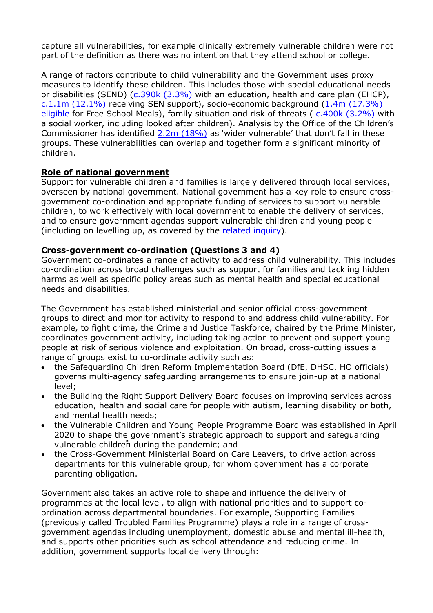capture all vulnerabilities, for example clinically extremely vulnerable children were not part of the definition as there was no intention that they attend school or college.

A range of factors contribute to child vulnerability and the Government uses proxy measures to identify these children. This includes those with special educational needs or disabilities (SEND) ([c.390k](https://explore-education-statistics.service.gov.uk/find-statistics/education-health-and-care-plans) [\(](https://explore-education-statistics.service.gov.uk/find-statistics/education-health-and-care-plans)3.3%) with an education, health and care plan (EHCP), [c.1.1m](https://explore-education-statistics.service.gov.uk/find-statistics/special-educational-needs-in-england) [\(](https://explore-education-statistics.service.gov.uk/find-statistics/special-educational-needs-in-england)12.1%) receiving SEN support), socio-economic background (1.4m (17.3%) eligible for Free School Meals), family situation and risk of threats ( [c.400k](https://explore-education-statistics.service.gov.uk/find-statistics/characteristics-of-children-in-need/2020) [\(](https://explore-education-statistics.service.gov.uk/find-statistics/characteristics-of-children-in-need/2020)3.2%) with a social worker, including looked after children). Analysis by the Office of the Children's Commissioner has identified [2.2m](https://www.childrenscommissioner.gov.uk/vulnerable-children/local-vulnerability-profiles/) (18%) as 'wider vulnerable' that don't fall in these groups. These vulnerabilities can overlap and together form a significant minority of children.

#### **Role of national government**

Support for vulnerable children and families is largely delivered through local services, overseen by national government. National government has a key role to ensure crossgovernment co-ordination and appropriate funding of services to support vulnerable children, to work effectively with local government to enable the delivery of services, and to ensure government agendas support vulnerable children and young people (including on levelling up, as covered by the [related](https://committees.parliament.uk/work/1036/levelling-up-and-public-services/) [inquiry\)](https://committees.parliament.uk/work/1036/levelling-up-and-public-services/).

#### **Cross-government co-ordination (Questions 3 and 4)**

Government co-ordinates a range of activity to address child vulnerability. This includes co-ordination across broad challenges such as support for families and tackling hidden harms as well as specific policy areas such as mental health and special educational needs and disabilities.

The Government has established ministerial and senior official cross-government groups to direct and monitor activity to respond to and address child vulnerability. For example, to fight crime, the Crime and Justice Taskforce, chaired by the Prime Minister, coordinates government activity, including taking action to prevent and support young people at risk of serious violence and exploitation. On broad, cross-cutting issues a range of groups exist to co-ordinate activity such as:

- the Safeguarding Children Reform Implementation Board (DfE, DHSC, HO officials) governs multi-agency safeguarding arrangements to ensure join-up at a national level;
- the Building the Right Support Delivery Board focuses on improving services across education, health and social care for people with autism, learning disability or both, and mental health needs;
- the Vulnerable Children and Young People Programme Board was established in April 2020 to shape the government's strategic approach to support and safeguarding vulnerable children during the pandemic; and
- the Cross-Government Ministerial Board on Care Leavers, to drive action across departments for this vulnerable group, for whom government has a corporate parenting obligation.

Government also takes an active role to shape and influence the delivery of programmes at the local level, to align with national priorities and to support coordination across departmental boundaries. For example, Supporting Families (previously called Troubled Families Programme) plays a role in a range of crossgovernment agendas including unemployment, domestic abuse and mental ill-health, and supports other priorities such as school attendance and reducing crime. In addition, government supports local delivery through: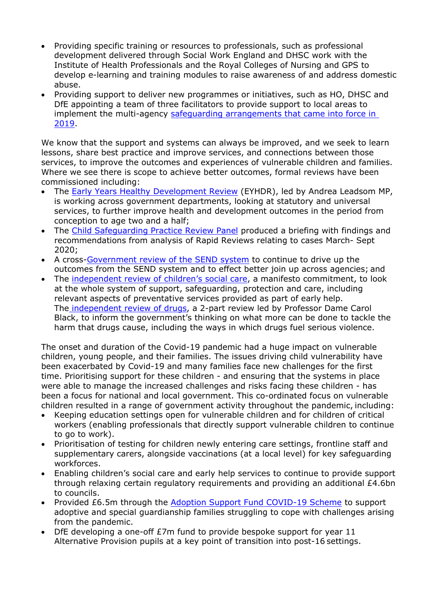- Providing specific training or resources to professionals, such as professional development delivered through Social Work England and DHSC work with the Institute of Health Professionals and the Royal Colleges of Nursing and GPS to develop e-learning and training modules to raise awareness of and address domestic abuse.
- Providing support to deliver new programmes or initiatives, such as HO, DHSC and DfE appointing a team of three facilitators to provide support to local areas to implement the multi-agency [safeguarding](https://www.gov.uk/government/publications/working-together-to-safeguard-children--2) [arrangements](https://www.gov.uk/government/publications/working-together-to-safeguard-children--2) [that](https://www.gov.uk/government/publications/working-together-to-safeguard-children--2) [came](https://www.gov.uk/government/publications/working-together-to-safeguard-children--2) [into](https://www.gov.uk/government/publications/working-together-to-safeguard-children--2) [force](https://www.gov.uk/government/publications/working-together-to-safeguard-children--2) [in](https://www.gov.uk/government/publications/working-together-to-safeguard-children--2) [2019.](https://www.gov.uk/government/publications/working-together-to-safeguard-children--2)

We know that the support and systems can always be improved, and we seek to learn lessons, share best practice and improve services, and connections between those services, to improve the outcomes and experiences of vulnerable children and families. Where we see there is scope to achieve better outcomes, formal reviews have been commissioned including:

- The [Early](https://www.gov.uk/government/consultations/early-years-healthy-development-review-call-for-evidence) [Years](https://www.gov.uk/government/consultations/early-years-healthy-development-review-call-for-evidence) [Healthy](https://www.gov.uk/government/consultations/early-years-healthy-development-review-call-for-evidence) [Development](https://www.gov.uk/government/consultations/early-years-healthy-development-review-call-for-evidence) [Review](https://www.gov.uk/government/consultations/early-years-healthy-development-review-call-for-evidence) (EYHDR), led by Andrea Leadsom MP, is working across government departments, looking at statutory and universal services, to further improve health and development outcomes in the period from conception to age two and a half;
- The [Child](https://www.gov.uk/government/organisations/child-safeguarding-practice-review-panel/about) [Safeguarding](https://www.gov.uk/government/organisations/child-safeguarding-practice-review-panel/about) [Practice](https://www.gov.uk/government/organisations/child-safeguarding-practice-review-panel/about) [Review](https://www.gov.uk/government/organisations/child-safeguarding-practice-review-panel/about) [Panel](https://www.gov.uk/government/organisations/child-safeguarding-practice-review-panel/about) produced a briefing with findings and recommendations from analysis of Rapid Reviews relating to cases March- Sept 2020;
- A cross-[Government](https://www.gov.uk/government/news/major-review-into-support-for-children-with-special-educational-needs) [review](https://www.gov.uk/government/news/major-review-into-support-for-children-with-special-educational-needs) [of](https://www.gov.uk/government/news/major-review-into-support-for-children-with-special-educational-needs) [the](https://www.gov.uk/government/news/major-review-into-support-for-children-with-special-educational-needs) [SEND](https://www.gov.uk/government/news/major-review-into-support-for-children-with-special-educational-needs) [system](https://www.gov.uk/government/news/major-review-into-support-for-children-with-special-educational-needs) [t](https://www.gov.uk/government/news/major-review-into-support-for-children-with-special-educational-needs)o continue to drive up the outcomes from the SEND system and to effect better join up across agencies; and
- The [independent](https://www.gov.uk/government/groups/independent-review-of-childrens-social-care#terms-of-reference) [review](https://www.gov.uk/government/groups/independent-review-of-childrens-social-care#terms-of-reference) [of](https://www.gov.uk/government/groups/independent-review-of-childrens-social-care#terms-of-reference) [children's](https://www.gov.uk/government/groups/independent-review-of-childrens-social-care#terms-of-reference) [social](https://www.gov.uk/government/groups/independent-review-of-childrens-social-care#terms-of-reference) [care](https://www.gov.uk/government/groups/independent-review-of-childrens-social-care#terms-of-reference), a manifesto commitment, to look at the whole system of support, safeguarding, protection and care, including relevant aspects of preventative services provided as part of early help. The [independent](https://www.gov.uk/government/collections/independent-review-of-drugs-by-professor-dame-carol-black) [review](https://www.gov.uk/government/collections/independent-review-of-drugs-by-professor-dame-carol-black) [of](https://www.gov.uk/government/collections/independent-review-of-drugs-by-professor-dame-carol-black) [drugs,](https://www.gov.uk/government/collections/independent-review-of-drugs-by-professor-dame-carol-black) a 2-part review led by Professor Dame Carol Black, to inform the government's thinking on what more can be done to tackle the harm that drugs cause, including the ways in which drugs fuel serious violence.

The onset and duration of the Covid-19 pandemic had a huge impact on vulnerable children, young people, and their families. The issues driving child vulnerability have been exacerbated by Covid-19 and many families face new challenges for the first time. Prioritising support for these children - and ensuring that the systems in place were able to manage the increased challenges and risks facing these children - has been a focus for national and local government. This co-ordinated focus on vulnerable children resulted in a range of government activity throughout the pandemic, including:

- Keeping education settings open for vulnerable children and for children of critical workers (enabling professionals that directly support vulnerable children to continue to go to work).
- Prioritisation of testing for children newly entering care settings, frontline staff and supplementary carers, alongside vaccinations (at a local level) for key safeguarding workforces.
- Enabling children's social care and early help services to continue to provide support through relaxing certain regulatory requirements and providing an additional £4.6bn to councils.
- Provided £6.5m through the [Adoption](https://www.gov.uk/government/news/covid-19-adoption-support-fund-scheme-to-help-vulnerable-families) [Support](https://www.gov.uk/government/news/covid-19-adoption-support-fund-scheme-to-help-vulnerable-families) [Fund](https://www.gov.uk/government/news/covid-19-adoption-support-fund-scheme-to-help-vulnerable-families) [COVID-19](https://www.gov.uk/government/news/covid-19-adoption-support-fund-scheme-to-help-vulnerable-families) [Scheme](https://www.gov.uk/government/news/covid-19-adoption-support-fund-scheme-to-help-vulnerable-families) to support adoptive and special guardianship families struggling to cope with challenges arising from the pandemic.
- DfE developing a one-off £7m fund to provide bespoke support for year 11 Alternative Provision pupils at a key point of transition into post-16 settings.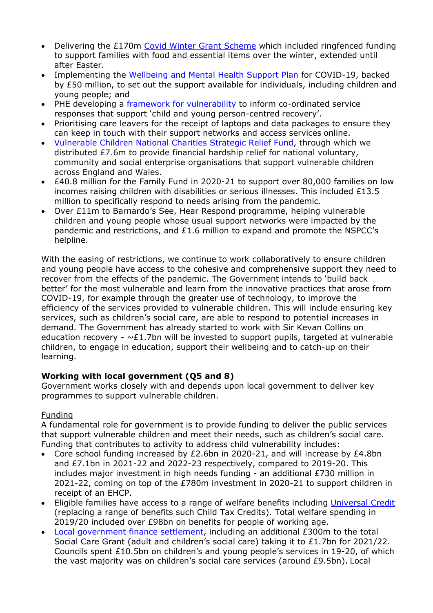- Delivering the £170m [Covid](https://www.gov.uk/government/publications/covid-winter-grant-scheme) [Winter](https://www.gov.uk/government/publications/covid-winter-grant-scheme) [Grant](https://www.gov.uk/government/publications/covid-winter-grant-scheme) [Scheme](https://www.gov.uk/government/publications/covid-winter-grant-scheme) which included ringfenced funding to support families with food and essential items over the winter, extended until after Easter.
- Implementing the [Wellbeing](https://www.gov.uk/government/publications/staying-mentally-well-winter-plan-2020-to-2021) [and](https://www.gov.uk/government/publications/staying-mentally-well-winter-plan-2020-to-2021) [Mental](https://www.gov.uk/government/publications/staying-mentally-well-winter-plan-2020-to-2021) [Health](https://www.gov.uk/government/publications/staying-mentally-well-winter-plan-2020-to-2021) [Support](https://www.gov.uk/government/publications/staying-mentally-well-winter-plan-2020-to-2021) [Plan](https://www.gov.uk/government/publications/staying-mentally-well-winter-plan-2020-to-2021) for COVID-19, backed by £50 million, to set out the support available for individuals, including children and young people; and
- PHE developing a [framework](https://assets.publishing.service.gov.uk/government/uploads/system/uploads/attachment_data/file/913764/Public_health_approach_to_vulnerability_in_childhood.pdf) [for](https://assets.publishing.service.gov.uk/government/uploads/system/uploads/attachment_data/file/913764/Public_health_approach_to_vulnerability_in_childhood.pdf) [vulnerability](https://assets.publishing.service.gov.uk/government/uploads/system/uploads/attachment_data/file/913764/Public_health_approach_to_vulnerability_in_childhood.pdf) [t](https://assets.publishing.service.gov.uk/government/uploads/system/uploads/attachment_data/file/913764/Public_health_approach_to_vulnerability_in_childhood.pdf)o inform co-ordinated service responses that support 'child and young person-centred recovery'.
- Prioritising care leavers for the receipt of laptops and data packages to ensure they can keep in touch with their support networks and access services online.
- [Vulnerable](https://www.gov.uk/government/publications/vulnerable-children-national-charities-strategic-relief-fund) [Children](https://www.gov.uk/government/publications/vulnerable-children-national-charities-strategic-relief-fund) [National](https://www.gov.uk/government/publications/vulnerable-children-national-charities-strategic-relief-fund) [Charities](https://www.gov.uk/government/publications/vulnerable-children-national-charities-strategic-relief-fund) [Strategic](https://www.gov.uk/government/publications/vulnerable-children-national-charities-strategic-relief-fund) [Relief](https://www.gov.uk/government/publications/vulnerable-children-national-charities-strategic-relief-fund) [Fund,](https://www.gov.uk/government/publications/vulnerable-children-national-charities-strategic-relief-fund) through which we distributed £7.6m to provide financial hardship relief for national voluntary, community and social enterprise organisations that support vulnerable children across England and Wales.
- £40.8 million for the Family Fund in 2020-21 to support over 80,000 families on low incomes raising children with disabilities or serious illnesses. This included £13.5 million to specifically respond to needs arising from the pandemic.
- Over £11m to Barnardo's See, Hear Respond programme, helping vulnerable children and young people whose usual support networks were impacted by the pandemic and restrictions, and £1.6 million to expand and promote the NSPCC's helpline.

With the easing of restrictions, we continue to work collaboratively to ensure children and young people have access to the cohesive and comprehensive support they need to recover from the effects of the pandemic. The Government intends to 'build back better' for the most vulnerable and learn from the innovative practices that arose from COVID-19, for example through the greater use of technology, to improve the efficiency of the services provided to vulnerable children. This will include ensuring key services, such as children's social care, are able to respond to potential increases in demand. The Government has already started to work with Sir Kevan Collins on education recovery -  $\sim$ £1.7bn will be invested to support pupils, targeted at vulnerable children, to engage in education, support their wellbeing and to catch-up on their learning.

## **Working with local government (Q5 and 8)**

Government works closely with and depends upon local government to deliver key programmes to support vulnerable children.

## Funding

A fundamental role for government is to provide funding to deliver the public services that support vulnerable children and meet their needs, such as children's social care. Funding that contributes to activity to address child vulnerability includes:

- Core school funding increased by  $E2.6$ bn in 2020-21, and will increase by  $E4.8$ bn and £7.1bn in 2021-22 and 2022-23 respectively, compared to 2019-20. This includes major investment in high needs funding - an additional £730 million in 2021-22, coming on top of the £780m investment in 2020-21 to support children in receipt of an EHCP.
- Eligible families have access to a range of welfare benefits including [Universal](https://www.gov.uk/universal-credit) [Credit](https://www.gov.uk/universal-credit) (replacing a range of benefits such Child Tax Credits). Total welfare spending in 2019/20 included over £98bn on benefits for people of working age.
- [Local](https://www.gov.uk/government/collections/final-local-government-finance-settlement-england-2021-to-2022) [government](https://www.gov.uk/government/collections/final-local-government-finance-settlement-england-2021-to-2022) [finance](https://www.gov.uk/government/collections/final-local-government-finance-settlement-england-2021-to-2022) [settlement,](https://www.gov.uk/government/collections/final-local-government-finance-settlement-england-2021-to-2022) including an additional £300m to the total Social Care Grant (adult and children's social care) taking it to £1.7bn for 2021/22. Councils spent £10.5bn on children's and young people's services in 19-20, of which the vast majority was on children's social care services (around £9.5bn). Local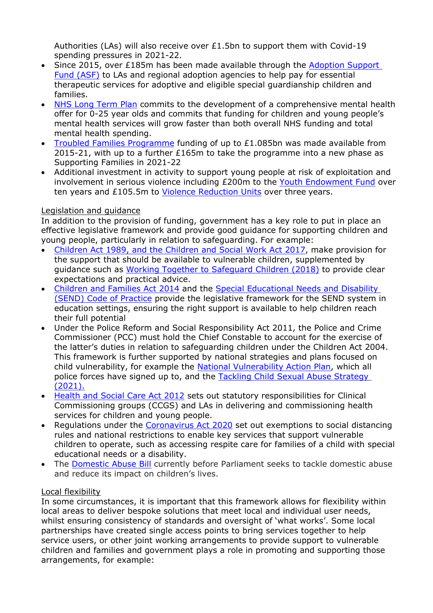Authorities (LAs) will also receive over £1.5bn to support them with Covid-19 spending pressures in 2021-22.

- Since 2015, over £185m has been made available through the [Adoption](https://www.gov.uk/guidance/adoption-support-fund-asf) [Support](https://www.gov.uk/guidance/adoption-support-fund-asf) [Fund](https://www.gov.uk/guidance/adoption-support-fund-asf) [\(ASF\)](https://www.gov.uk/guidance/adoption-support-fund-asf) [t](https://www.gov.uk/guidance/adoption-support-fund-asf)o LAs and regional adoption agencies to help pay for essential therapeutic services for adoptive and eligible special guardianship children and families.
- [NHS](https://www.longtermplan.nhs.uk/online-version/chapter-3-further-progress-on-care-quality-and-outcomes/a-strong-start-in-life-for-children-and-young-people/children-and-young-peoples-mental-health-services/) [Long](https://www.longtermplan.nhs.uk/online-version/chapter-3-further-progress-on-care-quality-and-outcomes/a-strong-start-in-life-for-children-and-young-people/children-and-young-peoples-mental-health-services/) [Term](https://www.longtermplan.nhs.uk/online-version/chapter-3-further-progress-on-care-quality-and-outcomes/a-strong-start-in-life-for-children-and-young-people/children-and-young-peoples-mental-health-services/) [Plan](https://www.longtermplan.nhs.uk/online-version/chapter-3-further-progress-on-care-quality-and-outcomes/a-strong-start-in-life-for-children-and-young-people/children-and-young-peoples-mental-health-services/) [c](https://www.longtermplan.nhs.uk/online-version/chapter-3-further-progress-on-care-quality-and-outcomes/a-strong-start-in-life-for-children-and-young-people/children-and-young-peoples-mental-health-services/)ommits to the development of a comprehensive mental health offer for 0-25 year olds and commits that funding for children and young people's mental health services will grow faster than both overall NHS funding and total mental health spending.
- Troubled Families Programme funding of up to £1.085bn was made available from 2015-21, with up to a further £165m to take the programme into a new phase as Supporting Families in 2021-22
- Additional investment in activity to support young people at risk of exploitation and involvement in serious violence including £200m to the [Youth](https://youthendowmentfund.org.uk/) [Endowment](https://youthendowmentfund.org.uk/) [Fund](https://youthendowmentfund.org.uk/) over ten years and £105.5m t[o](https://www.gov.uk/government/collections/violence-reduction-unit) [Violence](https://www.gov.uk/government/collections/violence-reduction-unit) [Reduction](https://www.gov.uk/government/collections/violence-reduction-unit) [Units](https://www.gov.uk/government/collections/violence-reduction-unit) over three years.

## Legislation and guidance

In addition to the provision of funding, government has a key role to put in place an effective legislative framework and provide good guidance for supporting children and young people, particularly in relation to safeguarding. For example:

- [Children](https://www.socialworkengland.org.uk/media/1501/cswa-2017.pdf) [Act](https://www.socialworkengland.org.uk/media/1501/cswa-2017.pdf) [1989,](https://www.socialworkengland.org.uk/media/1501/cswa-2017.pdf) [and](https://www.socialworkengland.org.uk/media/1501/cswa-2017.pdf) [the](https://www.socialworkengland.org.uk/media/1501/cswa-2017.pdf) [Children](https://www.socialworkengland.org.uk/media/1501/cswa-2017.pdf) [and](https://www.socialworkengland.org.uk/media/1501/cswa-2017.pdf) [Social](https://www.socialworkengland.org.uk/media/1501/cswa-2017.pdf) [Work](https://www.socialworkengland.org.uk/media/1501/cswa-2017.pdf) [Act](https://www.socialworkengland.org.uk/media/1501/cswa-2017.pdf) [2017,](https://www.socialworkengland.org.uk/media/1501/cswa-2017.pdf) make provision for the support that should be available to vulnerable children, supplemented by guidance such as [Working](https://www.gov.uk/government/publications/working-together-to-safeguard-children--2) [Together](https://www.gov.uk/government/publications/working-together-to-safeguard-children--2) [to](https://www.gov.uk/government/publications/working-together-to-safeguard-children--2) [Safeguard](https://www.gov.uk/government/publications/working-together-to-safeguard-children--2) [Children](https://www.gov.uk/government/publications/working-together-to-safeguard-children--2) [\(2018\)](https://www.gov.uk/government/publications/working-together-to-safeguard-children--2) to provide clear expectations and practical advice.
- [Children](https://www.legislation.gov.uk/ukpga/2014/6/part/3) [and](https://www.legislation.gov.uk/ukpga/2014/6/part/3) [Families](https://www.legislation.gov.uk/ukpga/2014/6/part/3) [Act](https://www.legislation.gov.uk/ukpga/2014/6/part/3) [2014](https://www.legislation.gov.uk/ukpga/2014/6/part/3) [a](https://www.legislation.gov.uk/ukpga/2014/6/part/3)nd the [Special](https://www.gov.uk/government/publications/send-code-of-practice-0-to-25) [Educational](https://www.gov.uk/government/publications/send-code-of-practice-0-to-25) [Needs](https://www.gov.uk/government/publications/send-code-of-practice-0-to-25) [and](https://www.gov.uk/government/publications/send-code-of-practice-0-to-25) [Disability](https://www.gov.uk/government/publications/send-code-of-practice-0-to-25) [\(SEND\)](https://www.gov.uk/government/publications/send-code-of-practice-0-to-25) [Code](https://www.gov.uk/government/publications/send-code-of-practice-0-to-25) [of](https://www.gov.uk/government/publications/send-code-of-practice-0-to-25) [Practice](https://www.gov.uk/government/publications/send-code-of-practice-0-to-25) [p](https://www.gov.uk/government/publications/send-code-of-practice-0-to-25)rovide the legislative framework for the SEND system in education settings, ensuring the right support is available to help children reach their full potential
- Under the Police Reform and Social Responsibility Act 2011, the Police and Crime Commissioner (PCC) must hold the Chief Constable to account for the exercise of the latter's duties in relation to safeguarding children under the Children Act 2004. This framework is further supported by national strategies and plans focused on child vulnerability, for example the [National](https://www.npcc.police.uk/Crime%20Ops%20Committee/NVAP.pdf) [Vulnerability](https://www.npcc.police.uk/Crime%20Ops%20Committee/NVAP.pdf) [Action](https://www.npcc.police.uk/Crime%20Ops%20Committee/NVAP.pdf) [Plan,](https://www.npcc.police.uk/Crime%20Ops%20Committee/NVAP.pdf) which all police forces have signed up to, and the [Tackling](https://assets.publishing.service.gov.uk/government/uploads/system/uploads/attachment_data/file/955493/Tackling_Child_Sexual_Abuse_Strategy_2021.pdf) [Child](https://assets.publishing.service.gov.uk/government/uploads/system/uploads/attachment_data/file/955493/Tackling_Child_Sexual_Abuse_Strategy_2021.pdf) [Sexual](https://assets.publishing.service.gov.uk/government/uploads/system/uploads/attachment_data/file/955493/Tackling_Child_Sexual_Abuse_Strategy_2021.pdf) [Abuse](https://assets.publishing.service.gov.uk/government/uploads/system/uploads/attachment_data/file/955493/Tackling_Child_Sexual_Abuse_Strategy_2021.pdf) [Strategy](https://assets.publishing.service.gov.uk/government/uploads/system/uploads/attachment_data/file/955493/Tackling_Child_Sexual_Abuse_Strategy_2021.pdf) [\(2021\).](https://assets.publishing.service.gov.uk/government/uploads/system/uploads/attachment_data/file/955493/Tackling_Child_Sexual_Abuse_Strategy_2021.pdf)
- [Health](https://www.legislation.gov.uk/ukpga/2012/7/contents/enacted) [and](https://www.legislation.gov.uk/ukpga/2012/7/contents/enacted) [Social](https://www.legislation.gov.uk/ukpga/2012/7/contents/enacted) [Care](https://www.legislation.gov.uk/ukpga/2012/7/contents/enacted) [Act](https://www.legislation.gov.uk/ukpga/2012/7/contents/enacted) [2012](https://www.legislation.gov.uk/ukpga/2012/7/contents/enacted) [s](https://www.legislation.gov.uk/ukpga/2012/7/contents/enacted)ets out statutory responsibilities for Clinical Commissioning groups (CCGS) and LAs in delivering and commissioning health services for children and young people.
- Regulations under the [Coronavirus](https://www.legislation.gov.uk/ukpga/2020/7/pdfs/ukpga_20200007_en.pdf) [Act](https://www.legislation.gov.uk/ukpga/2020/7/pdfs/ukpga_20200007_en.pdf) [2020](https://www.legislation.gov.uk/ukpga/2020/7/pdfs/ukpga_20200007_en.pdf) [s](https://www.legislation.gov.uk/ukpga/2020/7/pdfs/ukpga_20200007_en.pdf)et out exemptions to social distancing rules and national restrictions to enable key services that support vulnerable children to operate, such as accessing respite care for families of a child with special educational needs or a disability.
- The [Domestic](https://www.gov.uk/government/collections/domestic-abuse-bill#history) [Abuse](https://www.gov.uk/government/collections/domestic-abuse-bill#history) [Bill](https://www.gov.uk/government/collections/domestic-abuse-bill#history) [c](https://www.gov.uk/government/collections/domestic-abuse-bill#history)urrently before Parliament seeks to tackle domestic abuse and reduce its impact on children's lives.

## Local flexibility

In some circumstances, it is important that this framework allows for flexibility within local areas to deliver bespoke solutions that meet local and individual user needs, whilst ensuring consistency of standards and oversight of 'what works'. Some local partnerships have created single access points to bring services together to help service users, or other joint working arrangements to provide support to vulnerable children and families and government plays a role in promoting and supporting those arrangements, for example: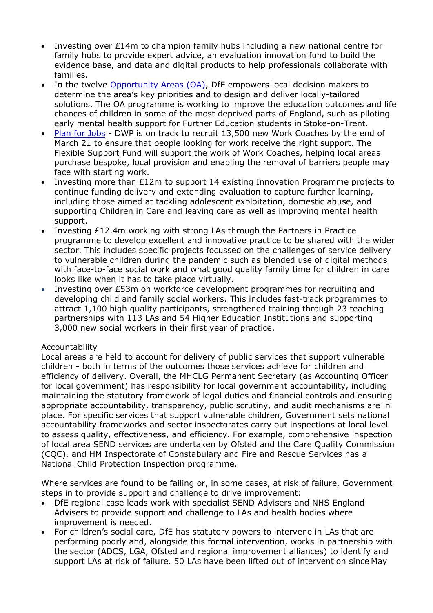- Investing over £14m to champion family hubs including a new national centre for family hubs to provide expert advice, an evaluation innovation fund to build the evidence base, and data and digital products to help professionals collaborate with families.
- In the twelve [Opportunity](https://www.gov.uk/government/news/opportunity-areas-programme-to-support-young-people-hit-hardest-by-pandemic) [Areas](https://www.gov.uk/government/news/opportunity-areas-programme-to-support-young-people-hit-hardest-by-pandemic) (OA), DfE empowers local decision makers to determine the area's key priorities and to design and deliver locally-tailored solutions. The OA programme is working to improve the education outcomes and life chances of children in some of the most deprived parts of England, such as piloting early mental health support for Further Education students in Stoke-on-Trent.
- [Plan](https://www.gov.uk/government/publications/a-plan-for-jobs-documents/a-plan-for-jobs-2020) [for](https://www.gov.uk/government/publications/a-plan-for-jobs-documents/a-plan-for-jobs-2020) [Jobs](https://www.gov.uk/government/publications/a-plan-for-jobs-documents/a-plan-for-jobs-2020) DWP is on track to recruit 13,500 new Work Coaches by the end of March 21 to ensure that people looking for work receive the right support. The Flexible Support Fund will support the work of Work Coaches, helping local areas purchase bespoke, local provision and enabling the removal of barriers people may face with starting work.
- Investing more than £12m to support 14 existing Innovation Programme projects to continue funding delivery and extending evaluation to capture further learning, including those aimed at tackling adolescent exploitation, domestic abuse, and supporting Children in Care and leaving care as well as improving mental health support.
- Investing £12.4m working with strong LAs through the Partners in Practice programme to develop excellent and innovative practice to be shared with the wider sector. This includes specific projects focussed on the challenges of service delivery to vulnerable children during the pandemic such as blended use of digital methods with face-to-face social work and what good quality family time for children in care looks like when it has to take place virtually.
- Investing over £53m on workforce development programmes for recruiting and developing child and family social workers. This includes fast-track programmes to attract 1,100 high quality participants, strengthened training through 23 teaching partnerships with 113 LAs and 54 Higher Education Institutions and supporting 3,000 new social workers in their first year of practice.

#### Accountability

Local areas are held to account for delivery of public services that support vulnerable children - both in terms of the outcomes those services achieve for children and efficiency of delivery. Overall, the MHCLG Permanent Secretary (as Accounting Officer for local government) has responsibility for local government accountability, including maintaining the statutory framework of legal duties and financial controls and ensuring appropriate accountability, transparency, public scrutiny, and audit mechanisms are in place. For specific services that support vulnerable children, Government sets national accountability frameworks and sector inspectorates carry out inspections at local level to assess quality, effectiveness, and efficiency. For example, comprehensive inspection of local area SEND services are undertaken by Ofsted and the Care Quality Commission (CQC), and HM Inspectorate of Constabulary and Fire and Rescue Services has a National Child Protection Inspection programme.

Where services are found to be failing or, in some cases, at risk of failure, Government steps in to provide support and challenge to drive improvement:

- DfE regional case leads work with specialist SEND Advisers and NHS England Advisers to provide support and challenge to LAs and health bodies where improvement is needed.
- For children's social care, DfE has statutory powers to intervene in LAs that are performing poorly and, alongside this formal intervention, works in partnership with the sector (ADCS, LGA, Ofsted and regional improvement alliances) to identify and support LAs at risk of failure. 50 LAs have been lifted out of intervention since May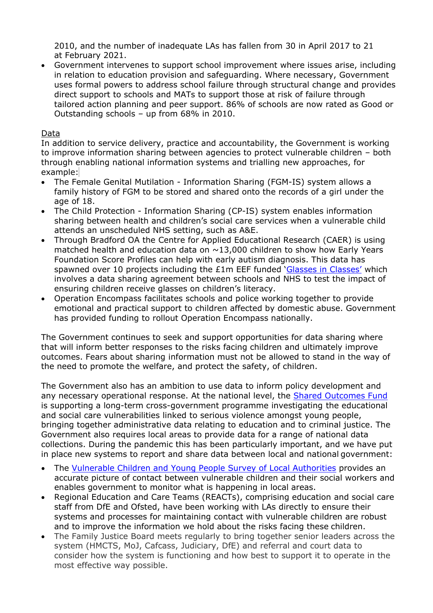2010, and the number of inadequate LAs has fallen from 30 in April 2017 to 21 at February 2021.

 Government intervenes to support school improvement where issues arise, including in relation to education provision and safeguarding. Where necessary, Government uses formal powers to address school failure through structural change and provides direct support to schools and MATs to support those at risk of failure through tailored action planning and peer support. 86% of schools are now rated as Good or Outstanding schools – up from 68% in 2010.

#### Data

In addition to service delivery, practice and accountability, the Government is working to improve information sharing between agencies to protect vulnerable children – both through enabling national information systems and trialling new approaches, for example:

- The Female Genital Mutilation Information Sharing (FGM-IS) system allows a family history of FGM to be stored and shared onto the records of a girl under the age of 18.
- The Child Protection Information Sharing (CP-IS) system enables information sharing between health and children's social care services when a vulnerable child attends an unscheduled NHS setting, such as A&E.
- Through Bradford OA the Centre for Applied Educational Research (CAER) is using matched health and education data on  $\sim$  13,000 children to show how Early Years Foundation Score Profiles can help with early autism diagnosis. This data has spawned over 10 projects including the £1m EEF funded ['Glasses](https://educationendowmentfoundation.org.uk/projects-and-evaluation/projects/glasses-in-classes/) [in](https://educationendowmentfoundation.org.uk/projects-and-evaluation/projects/glasses-in-classes/) [Classes'](https://educationendowmentfoundation.org.uk/projects-and-evaluation/projects/glasses-in-classes/) which involves a data sharing agreement between schools and NHS to test the impact of ensuring children receive glasses on children's literacy.
- Operation Encompass facilitates schools and police working together to provide emotional and practical support to children affected by domestic abuse. Government has provided funding to rollout Operation Encompass nationally.

The Government continues to seek and support opportunities for data sharing where that will inform better responses to the risks facing children and ultimately improve outcomes. Fears about sharing information must not be allowed to stand in the way of the need to promote the welfare, and protect the safety, of children.

The Government also has an ambition to use data to inform policy development and any necessary operational response. At the national level, the [Shared](https://www.gov.uk/government/publications/spending-review-2020-documents/spending-review-2020#shared-outcomes-fund) [Outcomes](https://www.gov.uk/government/publications/spending-review-2020-documents/spending-review-2020#shared-outcomes-fund) [Fund](https://www.gov.uk/government/publications/spending-review-2020-documents/spending-review-2020#shared-outcomes-fund) is supporting a long-term cross-government programme investigating the educational and social care vulnerabilities linked to serious violence amongst young people, bringing together administrative data relating to education and to criminal justice. The Government also requires local areas to provide data for a range of national data collections. During the pandemic this has been particularly important, and we have put in place new systems to report and share data between local and national government:

- The [Vulnerable](https://www.gov.uk/government/publications/vulnerable-children-and-young-people-survey) [Children](https://www.gov.uk/government/publications/vulnerable-children-and-young-people-survey) [and](https://www.gov.uk/government/publications/vulnerable-children-and-young-people-survey) [Young](https://www.gov.uk/government/publications/vulnerable-children-and-young-people-survey) [People](https://www.gov.uk/government/publications/vulnerable-children-and-young-people-survey) [Survey](https://www.gov.uk/government/publications/vulnerable-children-and-young-people-survey) [of](https://www.gov.uk/government/publications/vulnerable-children-and-young-people-survey) [Local](https://www.gov.uk/government/publications/vulnerable-children-and-young-people-survey) [Authorities](https://www.gov.uk/government/publications/vulnerable-children-and-young-people-survey) provides an accurate picture of contact between vulnerable children and their social workers and enables government to monitor what is happening in local areas.
- Regional Education and Care Teams (REACTs), comprising education and social care staff from DfE and Ofsted, have been working with LAs directly to ensure their systems and processes for maintaining contact with vulnerable children are robust and to improve the information we hold about the risks facing these children.
- The Family Justice Board meets regularly to bring together senior leaders across the system (HMCTS, MoJ, Cafcass, Judiciary, DfE) and referral and court data to consider how the system is functioning and how best to support it to operate in the most effective way possible.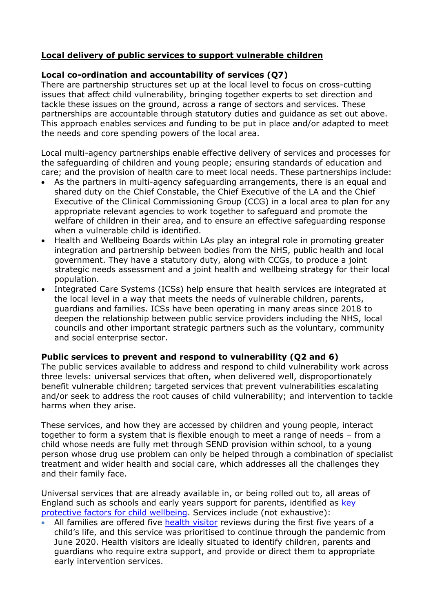## **Local delivery of public services to support vulnerable children**

#### **Local co-ordination and accountability of services (Q7)**

There are partnership structures set up at the local level to focus on cross-cutting issues that affect child vulnerability, bringing together experts to set direction and tackle these issues on the ground, across a range of sectors and services. These partnerships are accountable through statutory duties and guidance as set out above. This approach enables services and funding to be put in place and/or adapted to meet the needs and core spending powers of the local area.

Local multi-agency partnerships enable effective delivery of services and processes for the safeguarding of children and young people; ensuring standards of education and care; and the provision of health care to meet local needs. These partnerships include:

- As the partners in multi-agency safeguarding arrangements, there is an equal and shared duty on the Chief Constable, the Chief Executive of the LA and the Chief Executive of the Clinical Commissioning Group (CCG) in a local area to plan for any appropriate relevant agencies to work together to safeguard and promote the welfare of children in their area, and to ensure an effective safeguarding response when a vulnerable child is identified.
- Health and Wellbeing Boards within LAs play an integral role in promoting greater integration and partnership between bodies from the NHS, public health and local government. They have a statutory duty, along with CCGs, to produce a joint strategic needs assessment and a joint health and wellbeing strategy for their local population.
- Integrated Care Systems (ICSs) help ensure that health services are integrated at the local level in a way that meets the needs of vulnerable children, parents, guardians and families. ICSs have been operating in many areas since 2018 to deepen the relationship between public service providers including the NHS, local councils and other important strategic partners such as the voluntary, community and social enterprise sector.

#### **Public services to prevent and respond to vulnerability (Q2 and 6)**

The public services available to address and respond to child vulnerability work across three levels: universal services that often, when delivered well, disproportionately benefit vulnerable children; targeted services that prevent vulnerabilities escalating and/or seek to address the root causes of child vulnerability; and intervention to tackle harms when they arise.

These services, and how they are accessed by children and young people, interact together to form a system that is flexible enough to meet a range of needs – from a child whose needs are fully met through SEND provision within school, to a young person whose drug use problem can only be helped through a combination of specialist treatment and wider health and social care, which addresses all the challenges they and their family face.

Universal services that are already available in, or being rolled out to, all areas of England such as schools and early years support for parents, identified as [key](https://assets.publishing.service.gov.uk/government/uploads/system/uploads/attachment_data/file/913764/Public_health_approach_to_vulnerability_in_childhood.pdf) [protective](https://assets.publishing.service.gov.uk/government/uploads/system/uploads/attachment_data/file/913764/Public_health_approach_to_vulnerability_in_childhood.pdf) [factors](https://assets.publishing.service.gov.uk/government/uploads/system/uploads/attachment_data/file/913764/Public_health_approach_to_vulnerability_in_childhood.pdf) [for](https://assets.publishing.service.gov.uk/government/uploads/system/uploads/attachment_data/file/913764/Public_health_approach_to_vulnerability_in_childhood.pdf) [child](https://assets.publishing.service.gov.uk/government/uploads/system/uploads/attachment_data/file/913764/Public_health_approach_to_vulnerability_in_childhood.pdf) [wellbeing.](https://assets.publishing.service.gov.uk/government/uploads/system/uploads/attachment_data/file/913764/Public_health_approach_to_vulnerability_in_childhood.pdf) Services include (not exhaustive):

All families are offered five [health](https://www.nhs.uk/conditions/baby/babys-development/height-weight-and-reviews/baby-reviews/) [visitor](https://www.nhs.uk/conditions/baby/babys-development/height-weight-and-reviews/baby-reviews/) reviews during the first five years of a child's life, and this service was prioritised to continue through the pandemic from June 2020. Health visitors are ideally situated to identify children, parents and guardians who require extra support, and provide or direct them to appropriate early intervention services.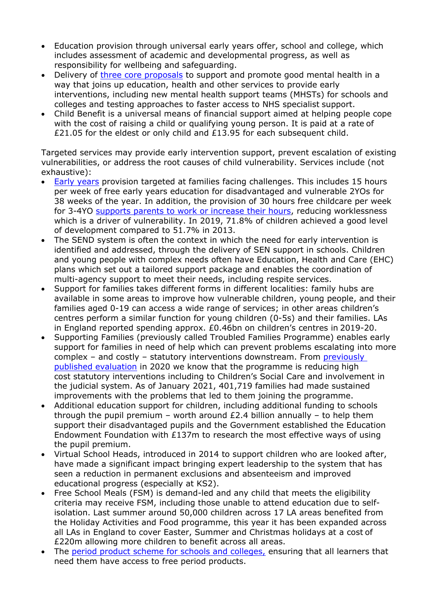- Education provision through universal early years offer, school and college, which includes assessment of academic and developmental progress, as well as responsibility for wellbeing and safeguarding.
- Delivery of [three](https://www.gov.uk/government/consultations/transforming-children-and-young-peoples-mental-health-provision-a-green-paper) [core](https://www.gov.uk/government/consultations/transforming-children-and-young-peoples-mental-health-provision-a-green-paper) [proposals](https://www.gov.uk/government/consultations/transforming-children-and-young-peoples-mental-health-provision-a-green-paper) to support and promote good mental health in a way that joins up education, health and other services to provide early interventions, including new mental health support teams (MHSTs) for schools and colleges and testing approaches to faster access to NHS specialist support.
- Child Benefit is a universal means of financial support aimed at helping people cope with the cost of raising a child or qualifying young person. It is paid at a rate of £21.05 for the eldest or only child and £13.95 for each subsequent child.

Targeted services may provide early intervention support, prevent escalation of existing vulnerabilities, or address the root causes of child vulnerability. Services include (not exhaustive):

- [Early](https://www.gov.uk/early-years-foundation-stage) [years](https://www.gov.uk/early-years-foundation-stage) provision targeted at families facing challenges. This includes 15 hours per week of free early years education for disadvantaged and vulnerable 2YOs for 38 weeks of the year. In addition, the provision of 30 hours free childcare per week for 3-4YO [supports](https://assets.publishing.service.gov.uk/government/uploads/system/uploads/attachment_data/file/853358/CEYSP_2019_Report.pdf#%3A~%3Atext%3DResponses%20to%20the%20Childcare%20and%20Early%20Years%20Survey%2Cprepare%20their%20child%20for%20school%20(30%25)%20(Table%203.6)) [parents](https://assets.publishing.service.gov.uk/government/uploads/system/uploads/attachment_data/file/853358/CEYSP_2019_Report.pdf#%3A~%3Atext%3DResponses%20to%20the%20Childcare%20and%20Early%20Years%20Survey%2Cprepare%20their%20child%20for%20school%20(30%25)%20(Table%203.6)) [to](https://assets.publishing.service.gov.uk/government/uploads/system/uploads/attachment_data/file/853358/CEYSP_2019_Report.pdf#%3A~%3Atext%3DResponses%20to%20the%20Childcare%20and%20Early%20Years%20Survey%2Cprepare%20their%20child%20for%20school%20(30%25)%20(Table%203.6)) [work](https://assets.publishing.service.gov.uk/government/uploads/system/uploads/attachment_data/file/853358/CEYSP_2019_Report.pdf#%3A~%3Atext%3DResponses%20to%20the%20Childcare%20and%20Early%20Years%20Survey%2Cprepare%20their%20child%20for%20school%20(30%25)%20(Table%203.6)) [or](https://assets.publishing.service.gov.uk/government/uploads/system/uploads/attachment_data/file/853358/CEYSP_2019_Report.pdf#%3A~%3Atext%3DResponses%20to%20the%20Childcare%20and%20Early%20Years%20Survey%2Cprepare%20their%20child%20for%20school%20(30%25)%20(Table%203.6)) [increase](https://assets.publishing.service.gov.uk/government/uploads/system/uploads/attachment_data/file/853358/CEYSP_2019_Report.pdf#%3A~%3Atext%3DResponses%20to%20the%20Childcare%20and%20Early%20Years%20Survey%2Cprepare%20their%20child%20for%20school%20(30%25)%20(Table%203.6)) [their](https://assets.publishing.service.gov.uk/government/uploads/system/uploads/attachment_data/file/853358/CEYSP_2019_Report.pdf#%3A~%3Atext%3DResponses%20to%20the%20Childcare%20and%20Early%20Years%20Survey%2Cprepare%20their%20child%20for%20school%20(30%25)%20(Table%203.6)) [hours](https://assets.publishing.service.gov.uk/government/uploads/system/uploads/attachment_data/file/853358/CEYSP_2019_Report.pdf#%3A~%3Atext%3DResponses%20to%20the%20Childcare%20and%20Early%20Years%20Survey%2Cprepare%20their%20child%20for%20school%20(30%25)%20(Table%203.6)), reducing worklessness which is a driver of vulnerability. In 2019, 71.8% of children achieved a good level of development compared to 51.7% in 2013.
- The SEND system is often the context in which the need for early intervention is identified and addressed, through the delivery of SEN support in schools. Children and young people with complex needs often have Education, Health and Care (EHC) plans which set out a tailored support package and enables the coordination of multi-agency support to meet their needs, including respite services.
- Support for families takes different forms in different localities: family hubs are available in some areas to improve how vulnerable children, young people, and their families aged 0-19 can access a wide range of services; in other areas children's centres perform a similar function for young children (0-5s) and their families. LAs in England reported spending approx. £0.46bn on children's centres in 2019-20.
- Supporting Families (previously called Troubled Families Programme) enables early support for families in need of help which can prevent problems escalating into more complex – and costly – statutory interventions downstream. From [previously](https://www.gov.uk/government/publications/national-evaluation-of-the-troubled-families-programme-2015-to-2021-further-findings) [published](https://www.gov.uk/government/publications/national-evaluation-of-the-troubled-families-programme-2015-to-2021-further-findings) [evaluation](https://www.gov.uk/government/publications/national-evaluation-of-the-troubled-families-programme-2015-to-2021-further-findings) in 2020 we know that the programme is reducing high cost statutory interventions including to Children's Social Care and involvement in the judicial system. As of January 2021, 401,719 families had made sustained improvements with the problems that led to them joining the programme.
- Additional education support for children, including additional funding to schools through the pupil premium – worth around  $£2.4$  billion annually – to help them support their disadvantaged pupils and the Government established the Education Endowment Foundation with £137m to research the most effective ways of using the pupil premium.
- Virtual School Heads, introduced in 2014 to support children who are looked after, have made a significant impact bringing expert leadership to the system that has seen a reduction in permanent exclusions and absenteeism and improved educational progress (especially at KS2).
- Free School Meals (FSM) is demand-led and any child that meets the eligibility criteria may receive FSM, including those unable to attend education due to selfisolation. Last summer around 50,000 children across 17 LA areas benefited from the Holiday Activities and Food programme, this year it has been expanded across all LAs in England to cover Easter, Summer and Christmas holidays at a cost of £220m allowing more children to benefit across all areas.
- The [period](https://www.gov.uk/government/publications/period-products-in-schools-and-colleges/period-product-scheme-for-schools-and-colleges-in-england#making-products-available-to-learners) [product](https://www.gov.uk/government/publications/period-products-in-schools-and-colleges/period-product-scheme-for-schools-and-colleges-in-england#making-products-available-to-learners) [scheme](https://www.gov.uk/government/publications/period-products-in-schools-and-colleges/period-product-scheme-for-schools-and-colleges-in-england#making-products-available-to-learners) [for](https://www.gov.uk/government/publications/period-products-in-schools-and-colleges/period-product-scheme-for-schools-and-colleges-in-england#making-products-available-to-learners) [schools](https://www.gov.uk/government/publications/period-products-in-schools-and-colleges/period-product-scheme-for-schools-and-colleges-in-england#making-products-available-to-learners) [and](https://www.gov.uk/government/publications/period-products-in-schools-and-colleges/period-product-scheme-for-schools-and-colleges-in-england#making-products-available-to-learners) [colleges,](https://www.gov.uk/government/publications/period-products-in-schools-and-colleges/period-product-scheme-for-schools-and-colleges-in-england#making-products-available-to-learners) ensuring that all learners that need them have access to free period products.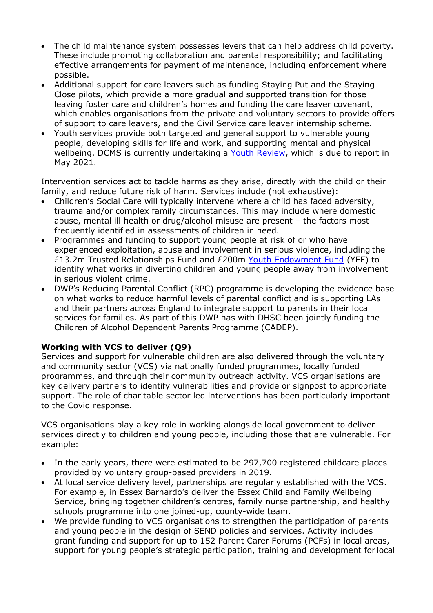- The child maintenance system possesses levers that can help address child poverty. These include promoting collaboration and parental responsibility; and facilitating effective arrangements for payment of maintenance, including enforcement where possible.
- Additional support for care leavers such as funding Staying Put and the Staying Close pilots, which provide a more gradual and supported transition for those leaving foster care and children's homes and funding the care leaver covenant, which enables organisations from the private and voluntary sectors to provide offers of support to care leavers, and the Civil Service care leaver internship scheme.
- Youth services provide both targeted and general support to vulnerable young people, developing skills for life and work, and supporting mental and physical wellbeing. DCMS is currently undertaking a [Youth](https://www.local.gov.uk/sites/default/files/documents/Youth%20Review%20-%20Paul%20Schofield%2C%20Head%20of%20Policy%20-%20Local%20Youth%20Services%2C%20Department%20for%20Digital%2C%20Culture%2C%20Media%20and%20Sport%20DCMS.pdf) [Review,](https://www.local.gov.uk/sites/default/files/documents/Youth%20Review%20-%20Paul%20Schofield%2C%20Head%20of%20Policy%20-%20Local%20Youth%20Services%2C%20Department%20for%20Digital%2C%20Culture%2C%20Media%20and%20Sport%20DCMS.pdf) which is due to report in May 2021.

Intervention services act to tackle harms as they arise, directly with the child or their family, and reduce future risk of harm. Services include (not exhaustive):

- Children's Social Care will typically intervene where a child has faced adversity, trauma and/or complex family circumstances. This may include where domestic abuse, mental ill health or drug/alcohol misuse are present – the factors most frequently identified in assessments of children in need.
- Programmes and funding to support young people at risk of or who have experienced exploitation, abuse and involvement in serious violence, including the £13.2m Trusted Relationships Fund and £200m [Youth](https://youthendowmentfund.org.uk/) [Endowment](https://youthendowmentfund.org.uk/) [Fund](https://youthendowmentfund.org.uk/) (YEF) to identify what works in diverting children and young people away from involvement in serious violent crime.
- DWP's Reducing Parental Conflict (RPC) programme is developing the evidence base on what works to reduce harmful levels of parental conflict and is supporting LAs and their partners across England to integrate support to parents in their local services for families. As part of this DWP has with DHSC been jointly funding the Children of Alcohol Dependent Parents Programme (CADEP).

## **Working with VCS to deliver (Q9)**

Services and support for vulnerable children are also delivered through the voluntary and community sector (VCS) via nationally funded programmes, locally funded programmes, and through their community outreach activity. VCS organisations are key delivery partners to identify vulnerabilities and provide or signpost to appropriate support. The role of charitable sector led interventions has been particularly important to the Covid response.

VCS organisations play a key role in working alongside local government to deliver services directly to children and young people, including those that are vulnerable. For example:

- In the early years, there were estimated to be 297,700 registered childcare places provided by voluntary group-based providers in 2019.
- At local service delivery level, partnerships are regularly established with the VCS. For example, in Essex Barnardo's deliver the Essex Child and Family Wellbeing Service, bringing together children's centres, family nurse partnership, and healthy schools programme into one joined-up, county-wide team.
- We provide funding to VCS organisations to strengthen the participation of parents and young people in the design of SEND policies and services. Activity includes grant funding and support for up to 152 Parent Carer Forums (PCFs) in local areas, support for young people's strategic participation, training and development for local